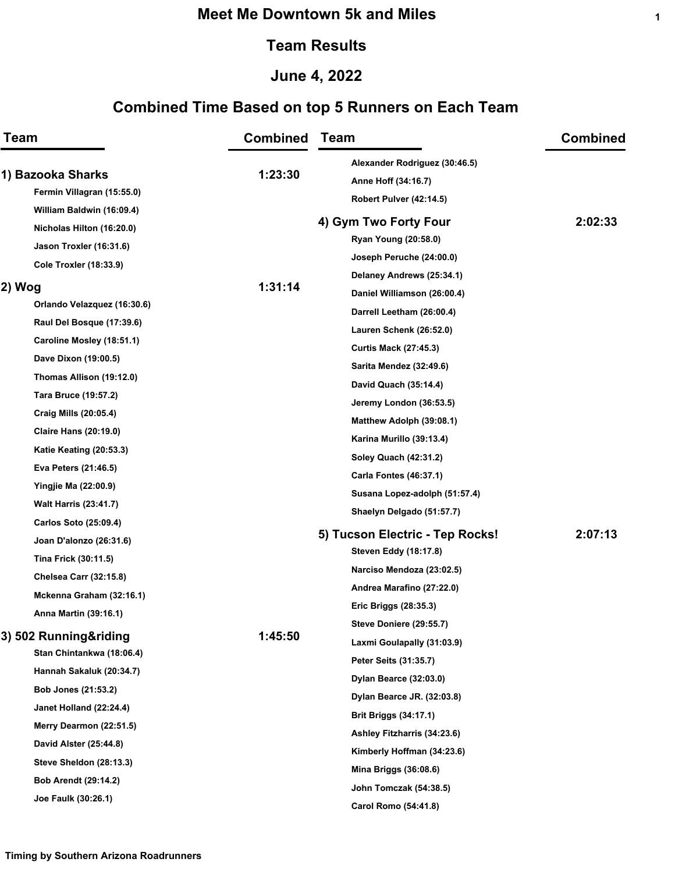### **Meet Me Downtown 5k and Miles**

#### **Team Results**

## **June 4, 2022**

# **Combined Time Based on top 5 Runners on Each Team**

| <b>Team</b><br>1) Bazooka Sharks<br>Fermin Villagran (15:55.0) |                               | <b>Combined</b> | <b>Team</b><br>Alexander Rodriguez (30:46.5)<br>Anne Hoff (34:16.7) | <b>Combined</b> |
|----------------------------------------------------------------|-------------------------------|-----------------|---------------------------------------------------------------------|-----------------|
|                                                                |                               | 1:23:30         |                                                                     |                 |
|                                                                | William Baldwin (16:09.4)     |                 | Robert Pulver (42:14.5)                                             |                 |
|                                                                | Nicholas Hilton (16:20.0)     |                 | 4) Gym Two Forty Four                                               | 2:02:33         |
|                                                                | Jason Troxler (16:31.6)       |                 | Ryan Young (20:58.0)                                                |                 |
|                                                                | <b>Cole Troxler (18:33.9)</b> |                 | Joseph Peruche (24:00.0)                                            |                 |
| 2) Wog                                                         |                               | 1:31:14         | Delaney Andrews (25:34.1)                                           |                 |
|                                                                | Orlando Velazquez (16:30.6)   |                 | Daniel Williamson (26:00.4)                                         |                 |
|                                                                | Raul Del Bosque (17:39.6)     |                 | Darrell Leetham (26:00.4)                                           |                 |
|                                                                |                               |                 | Lauren Schenk (26:52.0)                                             |                 |
|                                                                | Caroline Mosley (18:51.1)     |                 | <b>Curtis Mack (27:45.3)</b>                                        |                 |
|                                                                | Dave Dixon (19:00.5)          |                 | <b>Sarita Mendez (32:49.6)</b>                                      |                 |
|                                                                | Thomas Allison (19:12.0)      |                 | David Quach (35:14.4)                                               |                 |
|                                                                | Tara Bruce (19:57.2)          |                 | Jeremy London (36:53.5)                                             |                 |
|                                                                | Craig Mills (20:05.4)         |                 | Matthew Adolph (39:08.1)                                            |                 |
|                                                                | <b>Claire Hans (20:19.0)</b>  |                 | Karina Murillo (39:13.4)                                            |                 |
|                                                                | Katie Keating (20:53.3)       |                 | Soley Quach (42:31.2)                                               |                 |
|                                                                | Eva Peters (21:46.5)          |                 | <b>Carla Fontes (46:37.1)</b>                                       |                 |
|                                                                | <b>Yingjie Ma (22:00.9)</b>   |                 | Susana Lopez-adolph (51:57.4)                                       |                 |
|                                                                | <b>Walt Harris (23:41.7)</b>  |                 | Shaelyn Delgado (51:57.7)                                           |                 |
|                                                                | Carlos Soto (25:09.4)         |                 |                                                                     |                 |
|                                                                | Joan D'alonzo (26:31.6)       |                 | 5) Tucson Electric - Tep Rocks!                                     | 2:07:13         |
|                                                                | Tina Frick (30:11.5)          |                 | <b>Steven Eddy (18:17.8)</b>                                        |                 |
|                                                                | <b>Chelsea Carr (32:15.8)</b> |                 | Narciso Mendoza (23:02.5)                                           |                 |
|                                                                | Mckenna Graham (32:16.1)      |                 | Andrea Marafino (27:22.0)                                           |                 |
|                                                                | Anna Martin (39:16.1)         |                 | Eric Briggs (28:35.3)                                               |                 |
| 3) 502 Running&riding                                          |                               | 1:45:50         | <b>Steve Doniere (29:55.7)</b>                                      |                 |
|                                                                | Stan Chintankwa (18:06.4)     |                 | Laxmi Goulapally (31:03.9)                                          |                 |
|                                                                | Hannah Sakaluk (20:34.7)      |                 | Peter Seits (31:35.7)                                               |                 |
|                                                                | Bob Jones (21:53.2)           |                 | Dylan Bearce (32:03.0)                                              |                 |
|                                                                |                               |                 | Dylan Bearce JR. (32:03.8)                                          |                 |
|                                                                | Janet Holland (22:24.4)       |                 | <b>Brit Briggs (34:17.1)</b>                                        |                 |
|                                                                | Merry Dearmon (22:51.5)       |                 | Ashley Fitzharris (34:23.6)                                         |                 |
|                                                                | David Alster (25:44.8)        |                 | Kimberly Hoffman (34:23.6)                                          |                 |
|                                                                | Steve Sheldon (28:13.3)       |                 | Mina Briggs (36:08.6)                                               |                 |
|                                                                | <b>Bob Arendt (29:14.2)</b>   |                 | John Tomczak (54:38.5)                                              |                 |
|                                                                | Joe Faulk (30:26.1)           |                 | Carol Romo (54:41.8)                                                |                 |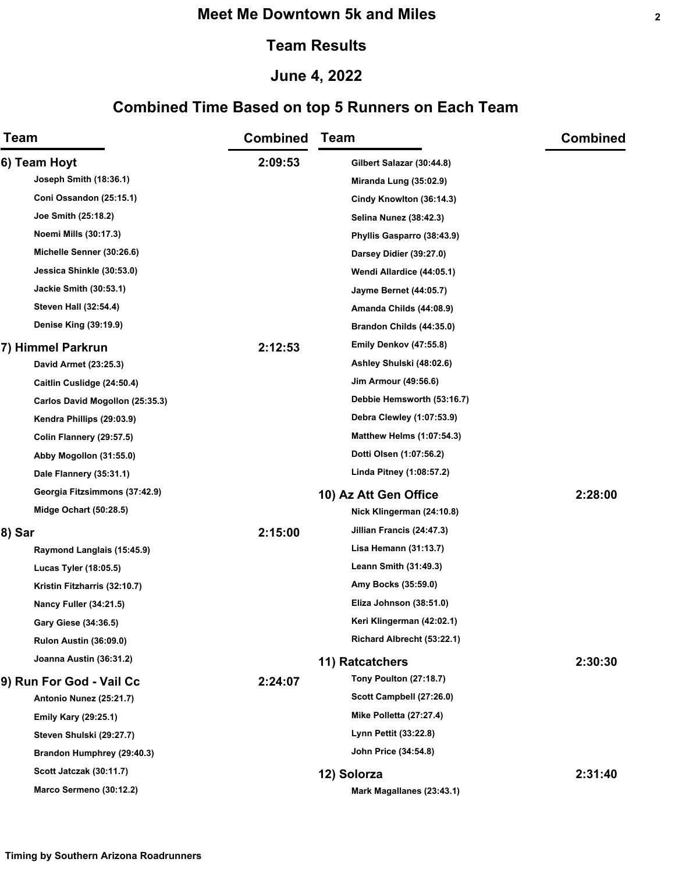### **Meet Me Downtown 5k and Miles**

#### **Team Results**

## **June 4, 2022**

# **Combined Time Based on top 5 Runners on Each Team**

| Team                                                   | <b>Combined</b> | <b>Team</b>                      | <b>Combined</b> |
|--------------------------------------------------------|-----------------|----------------------------------|-----------------|
| 6) Team Hoyt                                           | 2:09:53         | Gilbert Salazar (30:44.8)        |                 |
| Joseph Smith (18:36.1)                                 |                 | Miranda Lung (35:02.9)           |                 |
| Coni Ossandon (25:15.1)                                |                 | Cindy Knowlton (36:14.3)         |                 |
| Joe Smith (25:18.2)                                    |                 | Selina Nunez (38:42.3)           |                 |
| Noemi Mills (30:17.3)                                  |                 | Phyllis Gasparro (38:43.9)       |                 |
| Michelle Senner (30:26.6)                              |                 | Darsey Didier (39:27.0)          |                 |
| Jessica Shinkle (30:53.0)                              |                 | Wendi Allardice (44:05.1)        |                 |
| <b>Jackie Smith (30:53.1)</b>                          |                 | <b>Jayme Bernet (44:05.7)</b>    |                 |
| <b>Steven Hall (32:54.4)</b>                           |                 | Amanda Childs (44:08.9)          |                 |
| Denise King (39:19.9)                                  |                 | Brandon Childs (44:35.0)         |                 |
| 7) Himmel Parkrun                                      | 2:12:53         | <b>Emily Denkov (47:55.8)</b>    |                 |
| David Armet (23:25.3)                                  |                 | Ashley Shulski (48:02.6)         |                 |
| Caitlin Cuslidge (24:50.4)                             |                 | Jim Armour (49:56.6)             |                 |
| Carlos David Mogollon (25:35.3)                        |                 | Debbie Hemsworth (53:16.7)       |                 |
| Kendra Phillips (29:03.9)                              |                 | Debra Clewley (1:07:53.9)        |                 |
| Colin Flannery (29:57.5)                               |                 | <b>Matthew Helms (1:07:54.3)</b> |                 |
| Abby Mogollon (31:55.0)                                |                 | Dotti Olsen (1:07:56.2)          |                 |
| Dale Flannery (35:31.1)                                |                 | Linda Pitney (1:08:57.2)         |                 |
| Georgia Fitzsimmons (37:42.9)                          |                 | 10) Az Att Gen Office            | 2:28:00         |
| <b>Midge Ochart (50:28.5)</b>                          |                 | Nick Klingerman (24:10.8)        |                 |
| 8) Sar                                                 | 2:15:00         | Jillian Francis (24:47.3)        |                 |
| Raymond Langlais (15:45.9)                             |                 | Lisa Hemann (31:13.7)            |                 |
| Lucas Tyler (18:05.5)                                  |                 | Leann Smith (31:49.3)            |                 |
| Kristin Fitzharris (32:10.7)                           |                 | Amy Bocks (35:59.0)              |                 |
| <b>Nancy Fuller (34:21.5)</b>                          |                 | Eliza Johnson (38:51.0)          |                 |
| Gary Giese (34:36.5)                                   |                 | Keri Klingerman (42:02.1)        |                 |
| <b>Rulon Austin (36:09.0)</b>                          |                 | Richard Albrecht (53:22.1)       |                 |
| Joanna Austin (36:31.2)                                |                 | 11) Ratcatchers                  | 2:30:30         |
|                                                        | 2:24:07         | <b>Tony Poulton (27:18.7)</b>    |                 |
| 9) Run For God - Vail Cc<br>Antonio Nunez (25:21.7)    |                 | Scott Campbell (27:26.0)         |                 |
| <b>Emily Kary (29:25.1)</b>                            |                 | Mike Polletta (27:27.4)          |                 |
|                                                        |                 | Lynn Pettit (33:22.8)            |                 |
| Steven Shulski (29:27.7)<br>Brandon Humphrey (29:40.3) |                 | John Price (34:54.8)             |                 |
| Scott Jatczak (30:11.7)                                |                 |                                  |                 |
|                                                        |                 | 12) Solorza                      | 2:31:40         |
| Marco Sermeno (30:12.2)                                |                 | Mark Magallanes (23:43.1)        |                 |